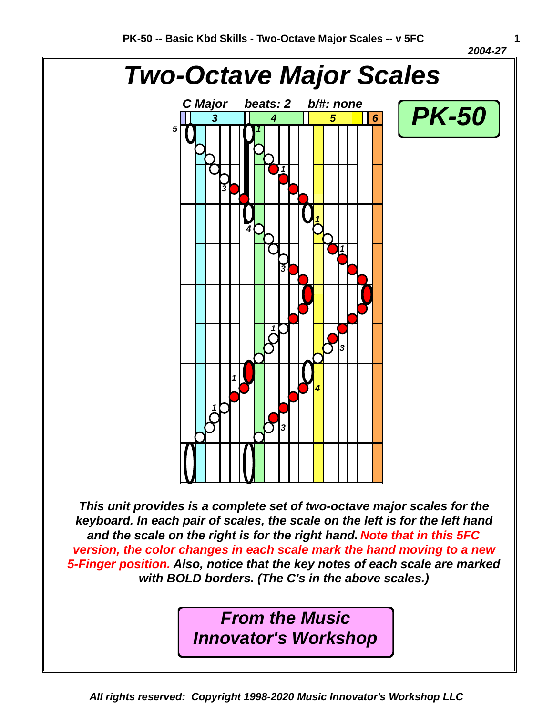*2004-27* 



*This unit provides is a complete set of two-octave major scales for the keyboard. In each pair of scales, the scale on the left is for the left hand and the scale on the right is for the right hand. Note that in this 5FC version, the color changes in each scale mark the hand moving to a new 5-Finger position. Also, notice that the key notes of each scale are marked with BOLD borders. (The C's in the above scales.)*

> *From the Music Innovator's Workshop*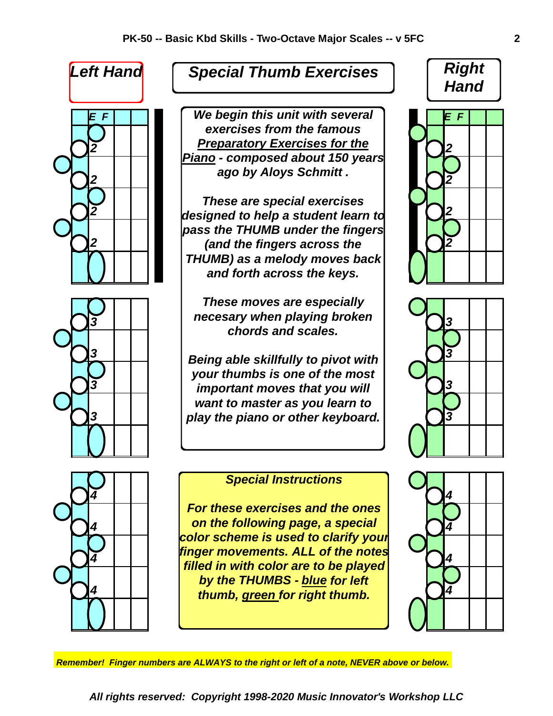

## *Special Thumb Exercises*

*E F E F We begin this unit with several 2 2 Preparatory Exercises for the* 2 | | | | | | ago by Aloys October 1 | |  $\sqrt{2}$ *exercises from the famous Piano - composed about 150 years ago by Aloys Schmitt .*

*2 2 designed to help a student learn to* 2 **2 2** *and the fingers across the* **1 1 1** *These are special exercises pass the THUMB under the fingers THUMB) as a melody moves back and forth across the keys.*

**3 1 1** *necesary when playing broken* **1 1 1 1 1 1** *These moves are especially chords and scales.*

**3 Being able skillfully to pivot with 2**<sup>3</sup> *3 3 important moves that you will* 3 | | | | | play the piano or other keyboard. |  $\sqrt{3}$ *your thumbs is one of the most want to master as you learn to*



## *Special Instructions*

*4* **d d** *on the following page, a special or 4*  $4$  | |  $\frac{1}{2}$   $\frac{1}{2}$   $\frac{1}{2}$   $\frac{1}{2}$   $\frac{1}{2}$   $\frac{1}{2}$   $\frac{1}{2}$   $\frac{1}{2}$   $\frac{1}{2}$   $\frac{1}{2}$   $\frac{1}{2}$   $\frac{1}{2}$   $\frac{1}{2}$   $\frac{1}{2}$   $\frac{1}{2}$   $\frac{1}{2}$   $\frac{1}{2}$   $\frac{1}{2}$   $\frac{1}{2}$   $\frac{1}{2}$   $\frac{1}{2}$   $\frac$  $\frac{4}{2}$  **1** *thumb, green for right thumb. For these exercises and the ones color scheme is used to clarify your finger movements. ALL of the notes filled in with color are to be played by the THUMBS - blue for left*







*Remember! Finger numbers are ALWAYS to the right or left of a note, NEVER above or below.*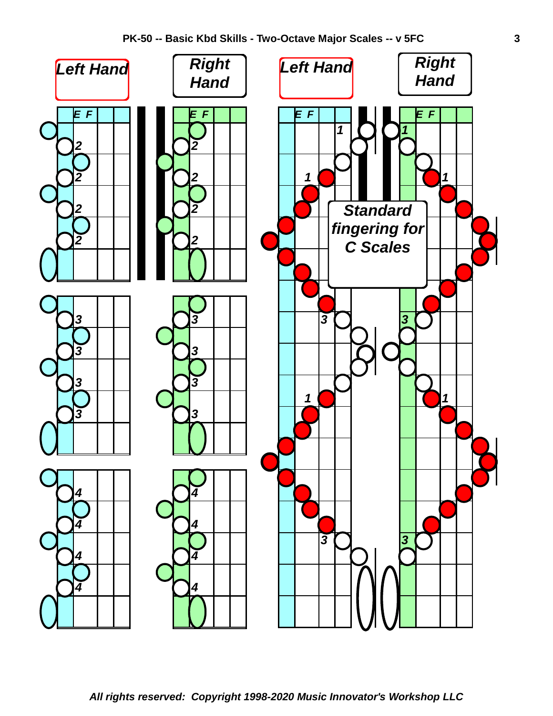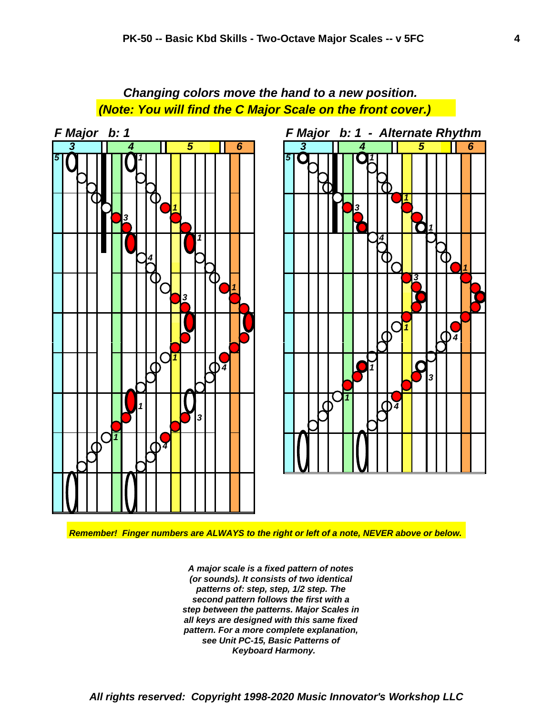*Changing colors move the hand to a new position. (Note: You will find the C Major Scale on the front cover.) F Major b: 1 F Major b: 1 - Alternate Rhythm*





*Remember! Finger numbers are ALWAYS to the right or left of a note, NEVER above or below.*

*Keyboard Harmony. see Unit PC-15, Basic Patterns of pattern. For a more complete explanation, all keys are designed with this same fixed step between the patterns. Major Scales in second pattern follows the first with a patterns of: step, step, 1/2 step. The (or sounds). It consists of two identical A major scale is a fixed pattern of notes*

*All rights reserved: Copyright 1998-2020 Music Innovator's Workshop LLC*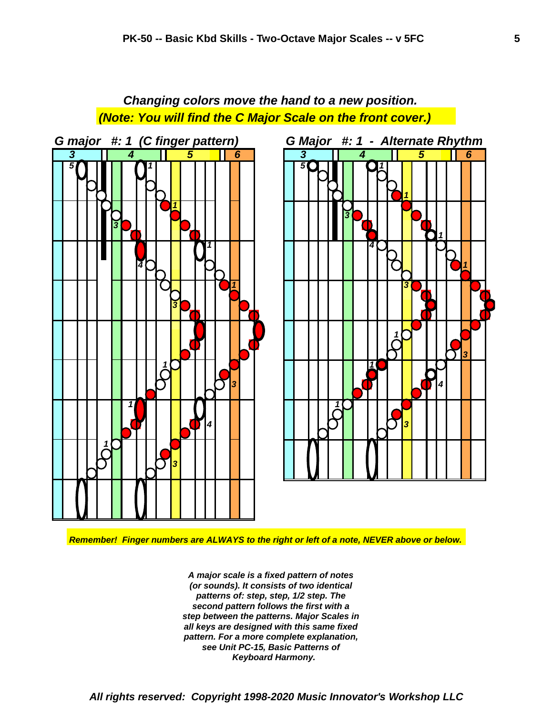*Changing colors move the hand to a new position. (Note: You will find the C Major Scale on the front cover.)*



*Remember! Finger numbers are ALWAYS to the right or left of a note, NEVER above or below.*

*Keyboard Harmony. see Unit PC-15, Basic Patterns of pattern. For a more complete explanation, all keys are designed with this same fixed step between the patterns. Major Scales in second pattern follows the first with a patterns of: step, step, 1/2 step. The (or sounds). It consists of two identical A major scale is a fixed pattern of notes*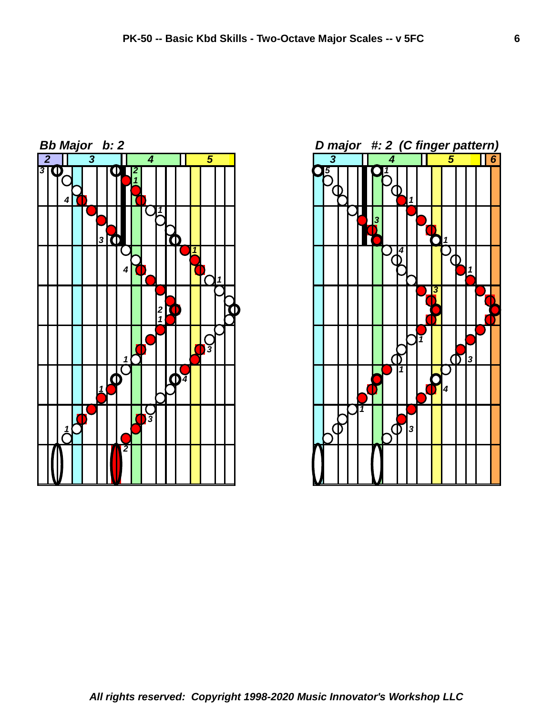

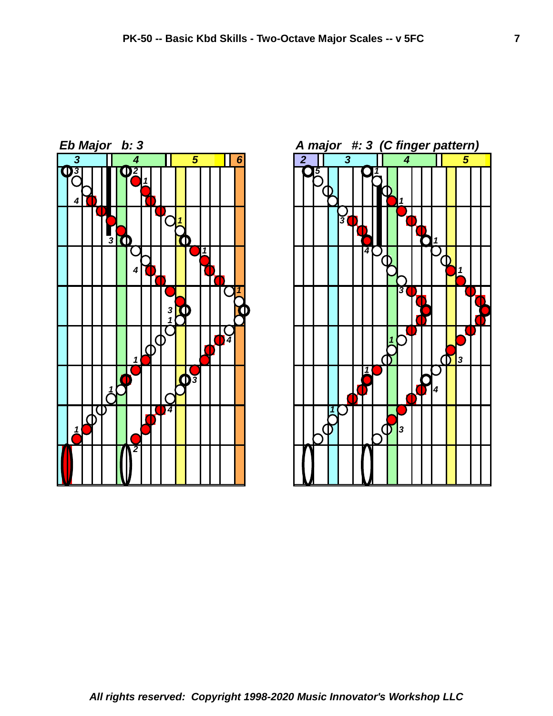

 *4* <u> ለ</u> ጠ **10 11 10 11 11 11 11 11 11 11 11 11 11**  *3 1 3*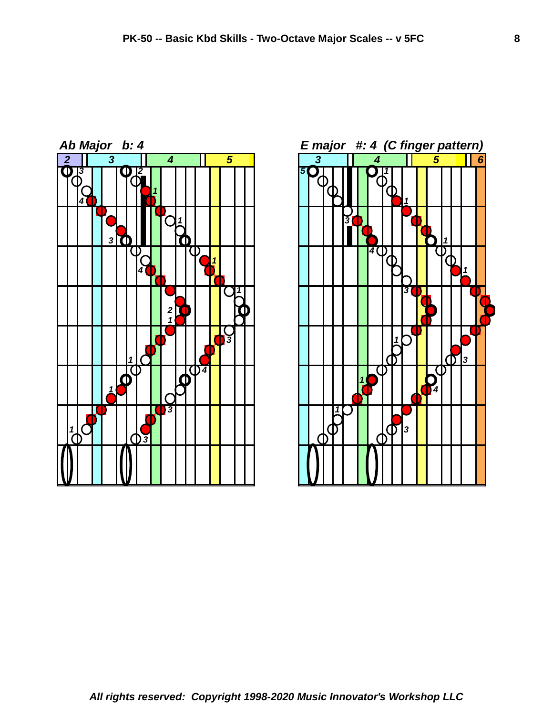



*All rights reserved: Copyright 1998-2020 Music Innovator's Workshop LLC*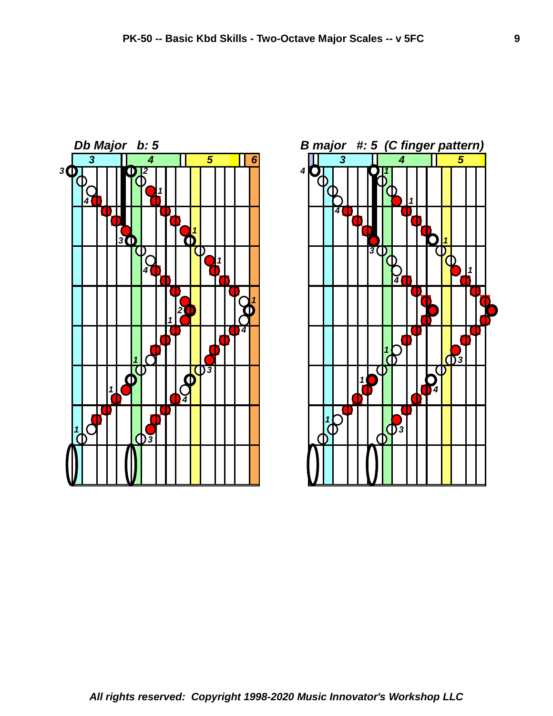